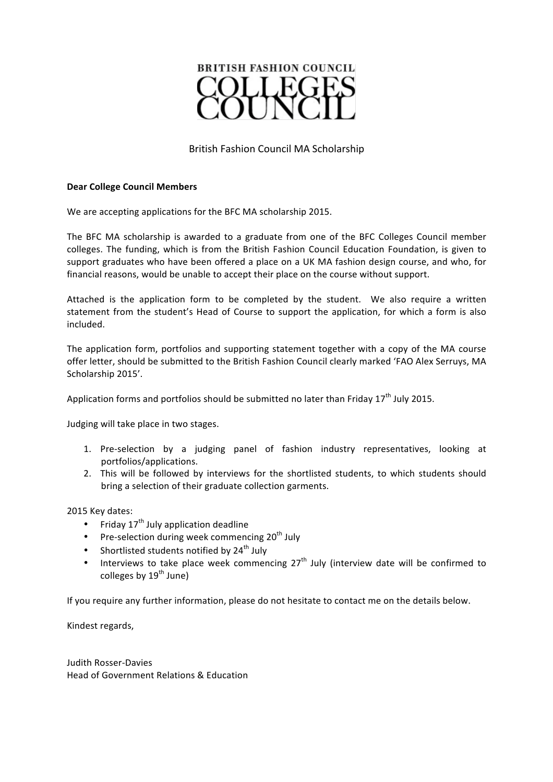

### British Fashion Council MA Scholarship

#### **Dear College Council Members**

We are accepting applications for the BFC MA scholarship 2015.

The BFC MA scholarship is awarded to a graduate from one of the BFC Colleges Council member colleges. The funding, which is from the British Fashion Council Education Foundation, is given to support graduates who have been offered a place on a UK MA fashion design course, and who, for financial reasons, would be unable to accept their place on the course without support.

Attached is the application form to be completed by the student. We also require a written statement from the student's Head of Course to support the application, for which a form is also included.

The application form, portfolios and supporting statement together with a copy of the MA course offer letter, should be submitted to the British Fashion Council clearly marked 'FAO Alex Serruys, MA Scholarship 2015'.

Application forms and portfolios should be submitted no later than Friday  $17^{th}$  July 2015.

Judging will take place in two stages.

- 1. Pre-selection by a judging panel of fashion industry representatives, looking at portfolios/applications.
- 2. This will be followed by interviews for the shortlisted students, to which students should bring a selection of their graduate collection garments.

2015 Key dates:

- Friday  $17<sup>th</sup>$  July application deadline
- Pre-selection during week commencing  $20<sup>th</sup>$  July
- Shortlisted students notified by  $24<sup>th</sup>$  July
- Interviews to take place week commencing  $27<sup>th</sup>$  July (interview date will be confirmed to colleges by  $19^{th}$  June)

If you require any further information, please do not hesitate to contact me on the details below.

Kindest regards,

Judith Rosser-Davies Head of Government Relations & Education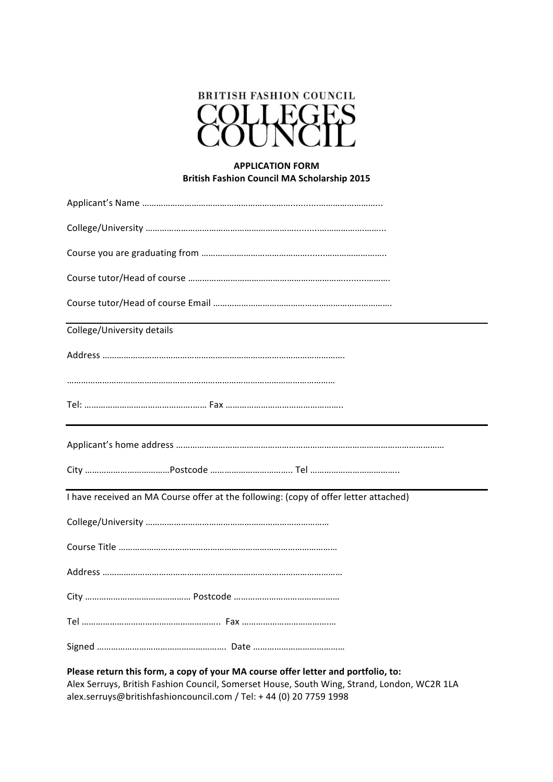# **BRITISH FASHION COUNCIL**

### **APPLICATION!FORM British Fashion Council MA Scholarship 2015**

| College/University details                                                           |
|--------------------------------------------------------------------------------------|
|                                                                                      |
|                                                                                      |
|                                                                                      |
|                                                                                      |
|                                                                                      |
| I have received an MA Course offer at the following: (copy of offer letter attached) |
|                                                                                      |
|                                                                                      |
|                                                                                      |
|                                                                                      |
|                                                                                      |
|                                                                                      |

## Please return this form, a copy of your MA course offer letter and portfolio, to:

Alex Serruys, British Fashion Council, Somerset House, South Wing, Strand, London, WC2R 1LA alex.serruys@britishfashioncouncil.com / Tel: + 44 (0) 20 7759 1998